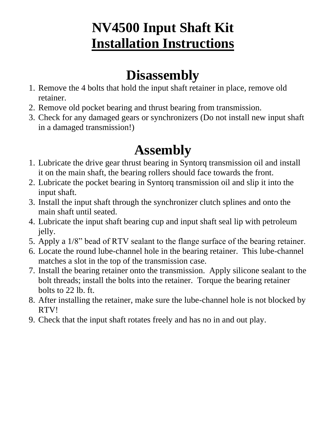## **NV4500 Input Shaft Kit Installation Instructions**

## **Disassembly**

- 1. Remove the 4 bolts that hold the input shaft retainer in place, remove old retainer.
- 2. Remove old pocket bearing and thrust bearing from transmission.
- 3. Check for any damaged gears or synchronizers (Do not install new input shaft in a damaged transmission!)

## **Assembly**

- 1. Lubricate the drive gear thrust bearing in Syntorq transmission oil and install it on the main shaft, the bearing rollers should face towards the front.
- 2. Lubricate the pocket bearing in Syntorq transmission oil and slip it into the input shaft.
- 3. Install the input shaft through the synchronizer clutch splines and onto the main shaft until seated.
- 4. Lubricate the input shaft bearing cup and input shaft seal lip with petroleum jelly.
- 5. Apply a 1/8" bead of RTV sealant to the flange surface of the bearing retainer.
- 6. Locate the round lube-channel hole in the bearing retainer. This lube-channel matches a slot in the top of the transmission case.
- 7. Install the bearing retainer onto the transmission. Apply silicone sealant to the bolt threads; install the bolts into the retainer. Torque the bearing retainer bolts to 22 lb. ft.
- 8. After installing the retainer, make sure the lube-channel hole is not blocked by RTV!
- 9. Check that the input shaft rotates freely and has no in and out play.